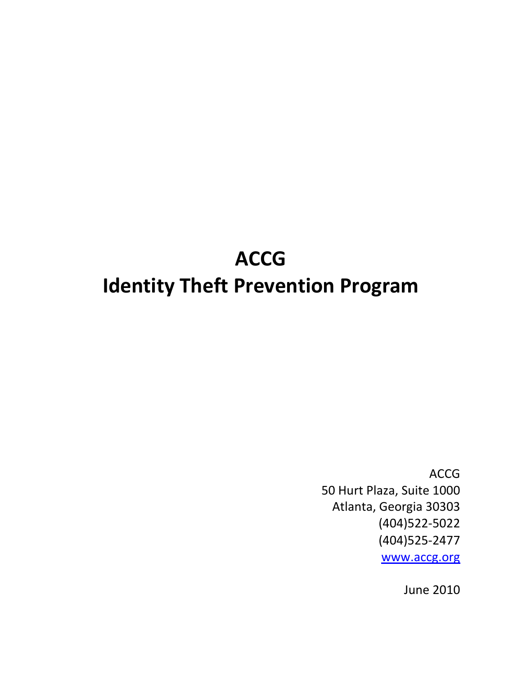# ACCG Identity Theft Prevention Program

ACCG 50 Hurt Plaza, Suite 1000 Atlanta, Georgia 30303 (404)522-5022 (404)525-2477 www.accg.org

June 2010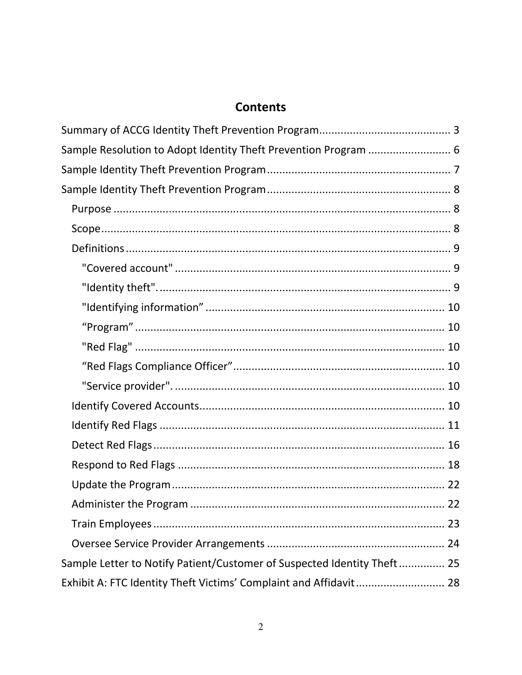# **Contents**

| Sample Resolution to Adopt Identity Theft Prevention Program  6         |      |
|-------------------------------------------------------------------------|------|
|                                                                         |      |
|                                                                         |      |
|                                                                         |      |
|                                                                         |      |
|                                                                         |      |
|                                                                         |      |
|                                                                         |      |
|                                                                         |      |
|                                                                         |      |
|                                                                         |      |
|                                                                         |      |
|                                                                         |      |
|                                                                         |      |
|                                                                         |      |
|                                                                         |      |
|                                                                         |      |
|                                                                         |      |
|                                                                         | . 22 |
|                                                                         |      |
|                                                                         |      |
| Sample Letter to Notify Patient/Customer of Suspected Identity Theft 25 |      |
| Exhibit A: FTC Identity Theft Victims' Complaint and Affidavit 28       |      |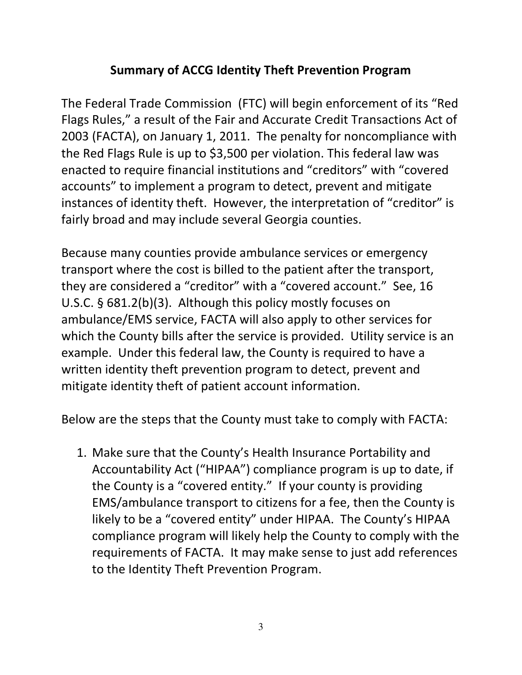# Summary of ACCG Identity Theft Prevention Program

The Federal Trade Commission (FTC) will begin enforcement of its "Red Flags Rules," a result of the Fair and Accurate Credit Transactions Act of 2003 (FACTA), on January 1, 2011. The penalty for noncompliance with the Red Flags Rule is up to \$3,500 per violation. This federal law was enacted to require financial institutions and "creditors" with "covered accounts" to implement a program to detect, prevent and mitigate instances of identity theft. However, the interpretation of "creditor" is fairly broad and may include several Georgia counties.

Because many counties provide ambulance services or emergency transport where the cost is billed to the patient after the transport, they are considered a "creditor" with a "covered account." See, 16 U.S.C. § 681.2(b)(3). Although this policy mostly focuses on ambulance/EMS service, FACTA will also apply to other services for which the County bills after the service is provided. Utility service is an example. Under this federal law, the County is required to have a written identity theft prevention program to detect, prevent and mitigate identity theft of patient account information.

Below are the steps that the County must take to comply with FACTA:

1. Make sure that the County's Health Insurance Portability and Accountability Act ("HIPAA") compliance program is up to date, if the County is a "covered entity." If your county is providing EMS/ambulance transport to citizens for a fee, then the County is likely to be a "covered entity" under HIPAA. The County's HIPAA compliance program will likely help the County to comply with the requirements of FACTA. It may make sense to just add references to the Identity Theft Prevention Program.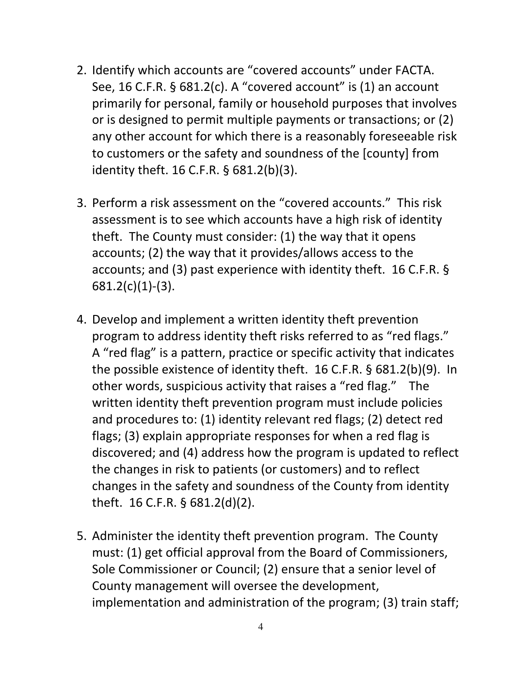- 2. Identify which accounts are "covered accounts" under FACTA. See, 16 C.F.R. § 681.2(c). A "covered account" is (1) an account primarily for personal, family or household purposes that involves or is designed to permit multiple payments or transactions; or (2) any other account for which there is a reasonably foreseeable risk to customers or the safety and soundness of the [county] from identity theft. 16 C.F.R. § 681.2(b)(3).
- 3. Perform a risk assessment on the "covered accounts." This risk assessment is to see which accounts have a high risk of identity theft. The County must consider: (1) the way that it opens accounts; (2) the way that it provides/allows access to the accounts; and (3) past experience with identity theft. 16 C.F.R. §  $681.2(c)(1)-(3)$ .
- 4. Develop and implement a written identity theft prevention program to address identity theft risks referred to as "red flags." A "red flag" is a pattern, practice or specific activity that indicates the possible existence of identity theft. 16 C.F.R. § 681.2(b)(9). In other words, suspicious activity that raises a "red flag." The written identity theft prevention program must include policies and procedures to: (1) identity relevant red flags; (2) detect red flags; (3) explain appropriate responses for when a red flag is discovered; and (4) address how the program is updated to reflect the changes in risk to patients (or customers) and to reflect changes in the safety and soundness of the County from identity theft. 16 C.F.R. § 681.2(d)(2).
- 5. Administer the identity theft prevention program. The County must: (1) get official approval from the Board of Commissioners, Sole Commissioner or Council; (2) ensure that a senior level of County management will oversee the development, implementation and administration of the program; (3) train staff;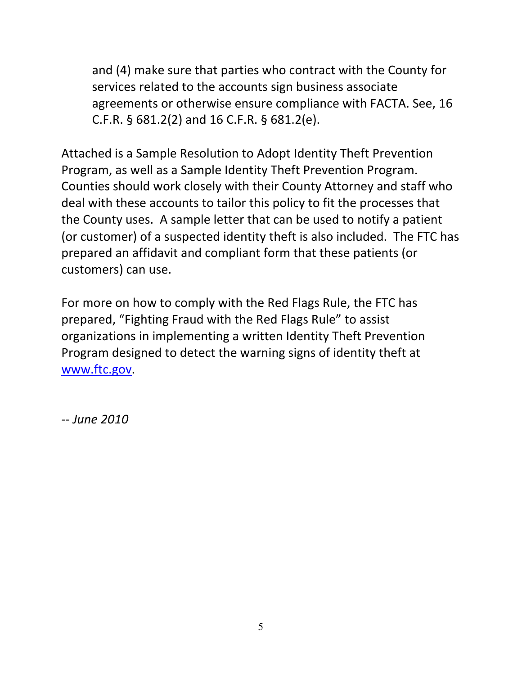and (4) make sure that parties who contract with the County for services related to the accounts sign business associate agreements or otherwise ensure compliance with FACTA. See, 16 C.F.R. § 681.2(2) and 16 C.F.R. § 681.2(e).

Attached is a Sample Resolution to Adopt Identity Theft Prevention Program, as well as a Sample Identity Theft Prevention Program. Counties should work closely with their County Attorney and staff who deal with these accounts to tailor this policy to fit the processes that the County uses. A sample letter that can be used to notify a patient (or customer) of a suspected identity theft is also included. The FTC has prepared an affidavit and compliant form that these patients (or customers) can use.

For more on how to comply with the Red Flags Rule, the FTC has prepared, "Fighting Fraud with the Red Flags Rule" to assist organizations in implementing a written Identity Theft Prevention Program designed to detect the warning signs of identity theft at www.ftc.gov.

-- June 2010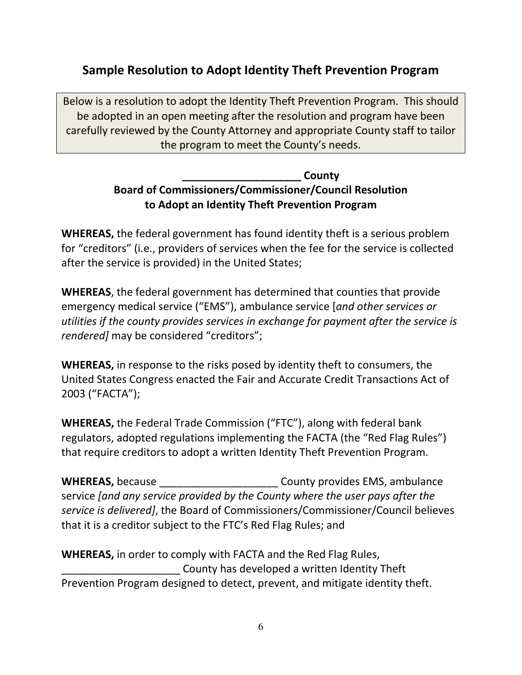## Sample Resolution to Adopt Identity Theft Prevention Program

Below is a resolution to adopt the Identity Theft Prevention Program. This should be adopted in an open meeting after the resolution and program have been carefully reviewed by the County Attorney and appropriate County staff to tailor the program to meet the County's needs.

#### \_\_\_\_\_\_\_\_\_\_\_\_\_\_\_\_\_\_\_\_ County Board of Commissioners/Commissioner/Council Resolution to Adopt an Identity Theft Prevention Program

WHEREAS, the federal government has found identity theft is a serious problem for "creditors" (i.e., providers of services when the fee for the service is collected after the service is provided) in the United States;

WHEREAS, the federal government has determined that counties that provide emergency medical service ("EMS"), ambulance service [and other services or utilities if the county provides services in exchange for payment after the service is rendered] may be considered "creditors";

WHEREAS, in response to the risks posed by identity theft to consumers, the United States Congress enacted the Fair and Accurate Credit Transactions Act of 2003 ("FACTA");

WHEREAS, the Federal Trade Commission ("FTC"), along with federal bank regulators, adopted regulations implementing the FACTA (the "Red Flag Rules") that require creditors to adopt a written Identity Theft Prevention Program.

WHEREAS, because **WHEREAS**, because **EMS**, ambulance service [and any service provided by the County where the user pays after the service is delivered], the Board of Commissioners/Commissioner/Council believes that it is a creditor subject to the FTC's Red Flag Rules; and

WHEREAS, in order to comply with FACTA and the Red Flag Rules, \_\_\_\_\_\_\_\_\_\_\_\_\_\_\_\_\_\_\_\_ County has developed a written Identity Theft Prevention Program designed to detect, prevent, and mitigate identity theft.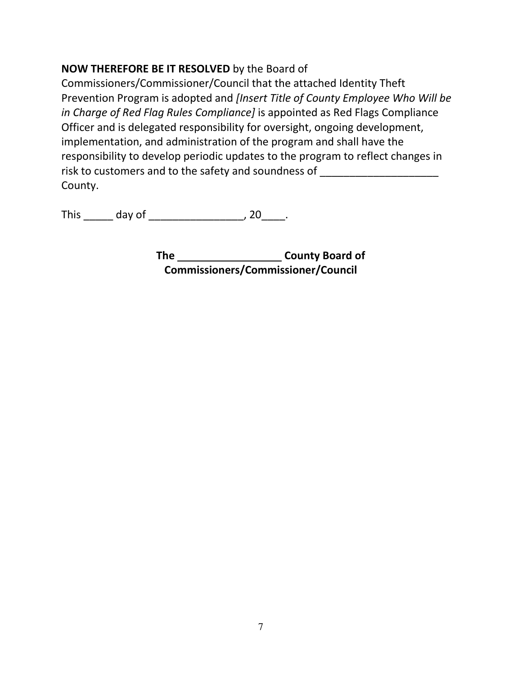#### NOW THEREFORE BE IT RESOLVED by the Board of

Commissioners/Commissioner/Council that the attached Identity Theft Prevention Program is adopted and *[Insert Title of County Employee Who Will be* in Charge of Red Flag Rules Compliance] is appointed as Red Flags Compliance Officer and is delegated responsibility for oversight, ongoing development, implementation, and administration of the program and shall have the responsibility to develop periodic updates to the program to reflect changes in risk to customers and to the safety and soundness of County.

This \_\_\_\_\_\_\_ day of \_\_\_\_\_\_\_\_\_\_\_\_\_\_\_\_\_\_\_\_\_\_\_, 20\_\_\_\_\_.

The County Board of Commissioners/Commissioner/Council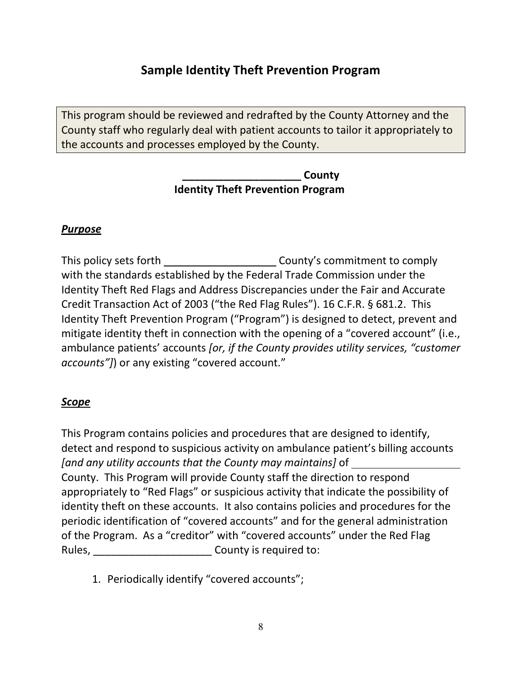## Sample Identity Theft Prevention Program

This program should be reviewed and redrafted by the County Attorney and the County staff who regularly deal with patient accounts to tailor it appropriately to the accounts and processes employed by the County.

> County Identity Theft Prevention Program

#### Purpose

This policy sets forth County's commitment to comply with the standards established by the Federal Trade Commission under the Identity Theft Red Flags and Address Discrepancies under the Fair and Accurate Credit Transaction Act of 2003 ("the Red Flag Rules"). 16 C.F.R. § 681.2. This Identity Theft Prevention Program ("Program") is designed to detect, prevent and mitigate identity theft in connection with the opening of a "covered account" (i.e., ambulance patients' accounts [or, if the County provides utility services, "customer accounts"]) or any existing "covered account."

#### **Scope**

This Program contains policies and procedures that are designed to identify, detect and respond to suspicious activity on ambulance patient's billing accounts [and any utility accounts that the County may maintains] of County. This Program will provide County staff the direction to respond appropriately to "Red Flags" or suspicious activity that indicate the possibility of identity theft on these accounts. It also contains policies and procedures for the periodic identification of "covered accounts" and for the general administration of the Program. As a "creditor" with "covered accounts" under the Red Flag Rules, **EXECUTE:** County is required to:

1. Periodically identify "covered accounts";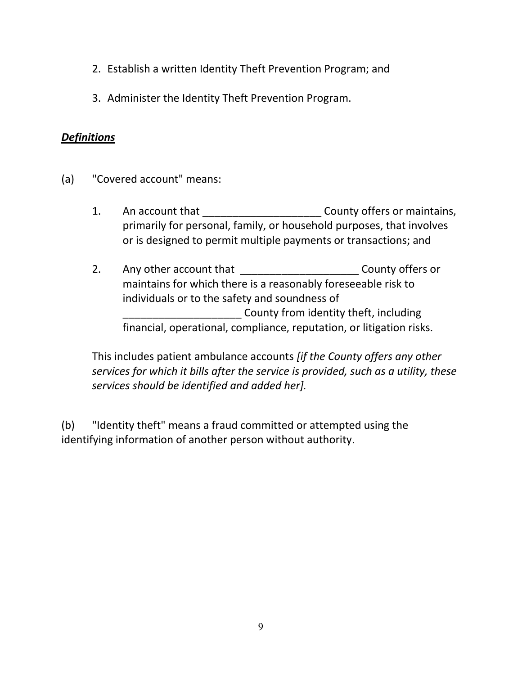- 2. Establish a written Identity Theft Prevention Program; and
- 3. Administer the Identity Theft Prevention Program.

#### **Definitions**

- (a) "Covered account" means:
	- 1. An account that **Example 20** County offers or maintains, primarily for personal, family, or household purposes, that involves or is designed to permit multiple payments or transactions; and

2. Any other account that \_\_\_\_\_\_\_\_\_\_\_\_\_\_\_\_\_\_\_\_\_\_\_\_\_\_\_\_County offers or maintains for which there is a reasonably foreseeable risk to individuals or to the safety and soundness of \_\_\_\_\_\_\_\_\_\_\_\_\_\_\_\_\_\_\_\_ County from identity theft, including financial, operational, compliance, reputation, or litigation risks.

This includes patient ambulance accounts *lif the County offers any other* services for which it bills after the service is provided, such as a utility, these services should be identified and added her].

(b) "Identity theft" means a fraud committed or attempted using the identifying information of another person without authority.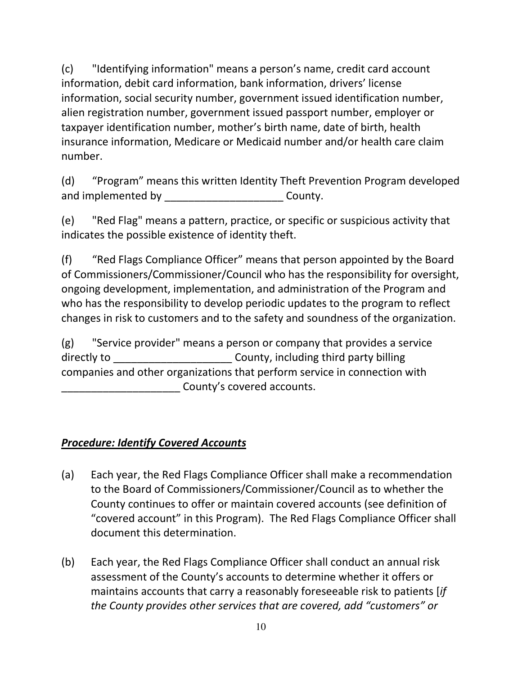(c) "Identifying information" means a person's name, credit card account information, debit card information, bank information, drivers' license information, social security number, government issued identification number, alien registration number, government issued passport number, employer or taxpayer identification number, mother's birth name, date of birth, health insurance information, Medicare or Medicaid number and/or health care claim number.

(d) "Program" means this written Identity Theft Prevention Program developed and implemented by **Examplemented** by **County.** 

(e) "Red Flag" means a pattern, practice, or specific or suspicious activity that indicates the possible existence of identity theft.

(f) "Red Flags Compliance Officer" means that person appointed by the Board of Commissioners/Commissioner/Council who has the responsibility for oversight, ongoing development, implementation, and administration of the Program and who has the responsibility to develop periodic updates to the program to reflect changes in risk to customers and to the safety and soundness of the organization.

(g) "Service provider" means a person or company that provides a service directly to **Exercise 2** County, including third party billing companies and other organizations that perform service in connection with \_\_\_\_\_\_\_\_\_\_\_\_\_\_\_\_\_\_\_\_ County's covered accounts.

#### Procedure: Identify Covered Accounts

- (a) Each year, the Red Flags Compliance Officer shall make a recommendation to the Board of Commissioners/Commissioner/Council as to whether the County continues to offer or maintain covered accounts (see definition of "covered account" in this Program). The Red Flags Compliance Officer shall document this determination.
- (b) Each year, the Red Flags Compliance Officer shall conduct an annual risk assessment of the County's accounts to determine whether it offers or maintains accounts that carry a reasonably foreseeable risk to patients [if the County provides other services that are covered, add "customers" or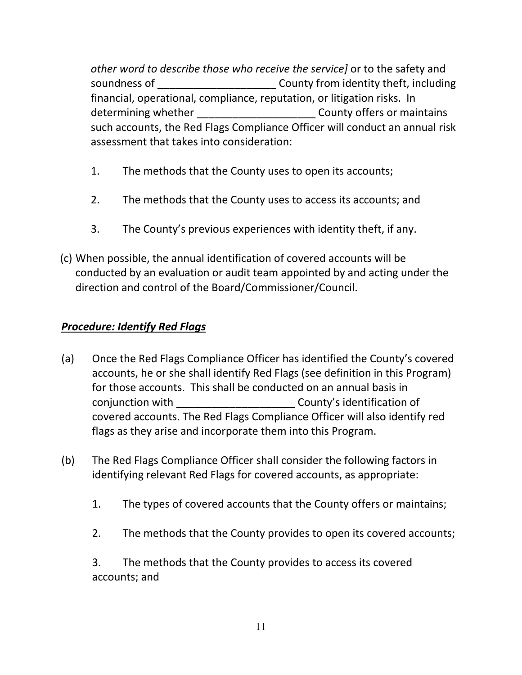other word to describe those who receive the service] or to the safety and soundness of \_\_\_\_\_\_\_\_\_\_\_\_\_\_\_\_\_\_\_\_\_\_\_\_\_\_\_\_County from identity theft, including financial, operational, compliance, reputation, or litigation risks. In determining whether example and the county offers or maintains such accounts, the Red Flags Compliance Officer will conduct an annual risk assessment that takes into consideration:

- 1. The methods that the County uses to open its accounts;
- 2. The methods that the County uses to access its accounts; and
- 3. The County's previous experiences with identity theft, if any.
- (c) When possible, the annual identification of covered accounts will be conducted by an evaluation or audit team appointed by and acting under the direction and control of the Board/Commissioner/Council.

### **Procedure: Identify Red Flags**

- (a) Once the Red Flags Compliance Officer has identified the County's covered accounts, he or she shall identify Red Flags (see definition in this Program) for those accounts. This shall be conducted on an annual basis in conjunction with **contraction** conjunction with  $\sim$  County's identification of covered accounts. The Red Flags Compliance Officer will also identify red flags as they arise and incorporate them into this Program.
- (b) The Red Flags Compliance Officer shall consider the following factors in identifying relevant Red Flags for covered accounts, as appropriate:
	- 1. The types of covered accounts that the County offers or maintains;
	- 2. The methods that the County provides to open its covered accounts;

3. The methods that the County provides to access its covered accounts; and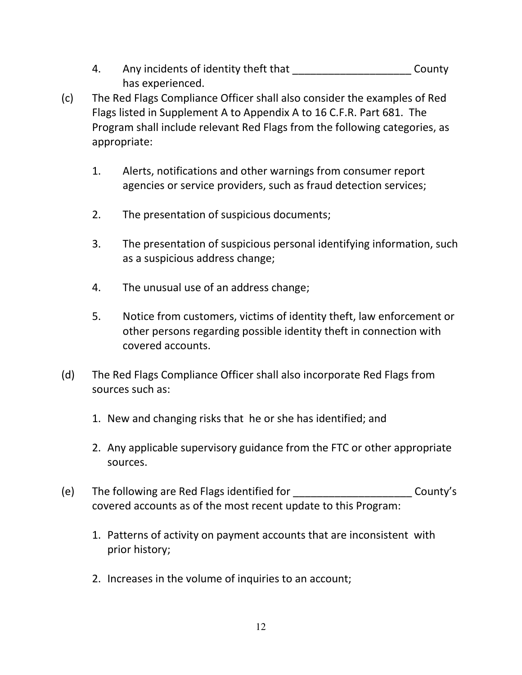- 4. Any incidents of identity theft that Theorem County has experienced.
- (c) The Red Flags Compliance Officer shall also consider the examples of Red Flags listed in Supplement A to Appendix A to 16 C.F.R. Part 681. The Program shall include relevant Red Flags from the following categories, as appropriate:
	- 1. Alerts, notifications and other warnings from consumer report agencies or service providers, such as fraud detection services;
	- 2. The presentation of suspicious documents;
	- 3. The presentation of suspicious personal identifying information, such as a suspicious address change;
	- 4. The unusual use of an address change;
	- 5. Notice from customers, victims of identity theft, law enforcement or other persons regarding possible identity theft in connection with covered accounts.
- (d) The Red Flags Compliance Officer shall also incorporate Red Flags from sources such as:
	- 1. New and changing risks that he or she has identified; and
	- 2. Any applicable supervisory guidance from the FTC or other appropriate sources.
- (e) The following are Red Flags identified for \_\_\_\_\_\_\_\_\_\_\_\_\_\_\_\_\_\_\_\_ County's covered accounts as of the most recent update to this Program:
	- 1. Patterns of activity on payment accounts that are inconsistent with prior history;
	- 2. Increases in the volume of inquiries to an account;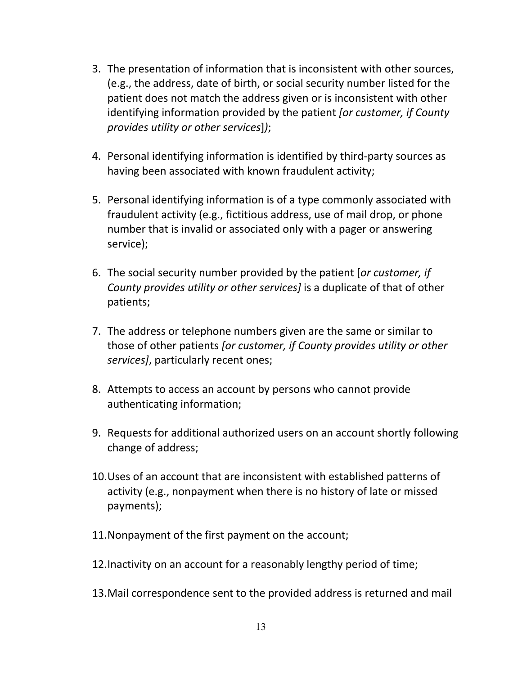- 3. The presentation of information that is inconsistent with other sources, (e.g., the address, date of birth, or social security number listed for the patient does not match the address given or is inconsistent with other identifying information provided by the patient *for customer, if County* provides utility or other services]);
- 4. Personal identifying information is identified by third-party sources as having been associated with known fraudulent activity;
- 5. Personal identifying information is of a type commonly associated with fraudulent activity (e.g., fictitious address, use of mail drop, or phone number that is invalid or associated only with a pager or answering service);
- 6. The social security number provided by the patient [or customer, if County provides utility or other services] is a duplicate of that of other patients;
- 7. The address or telephone numbers given are the same or similar to those of other patients [or customer, if County provides utility or other services], particularly recent ones;
- 8. Attempts to access an account by persons who cannot provide authenticating information;
- 9. Requests for additional authorized users on an account shortly following change of address;
- 10.Uses of an account that are inconsistent with established patterns of activity (e.g., nonpayment when there is no history of late or missed payments);
- 11.Nonpayment of the first payment on the account;
- 12.Inactivity on an account for a reasonably lengthy period of time;
- 13.Mail correspondence sent to the provided address is returned and mail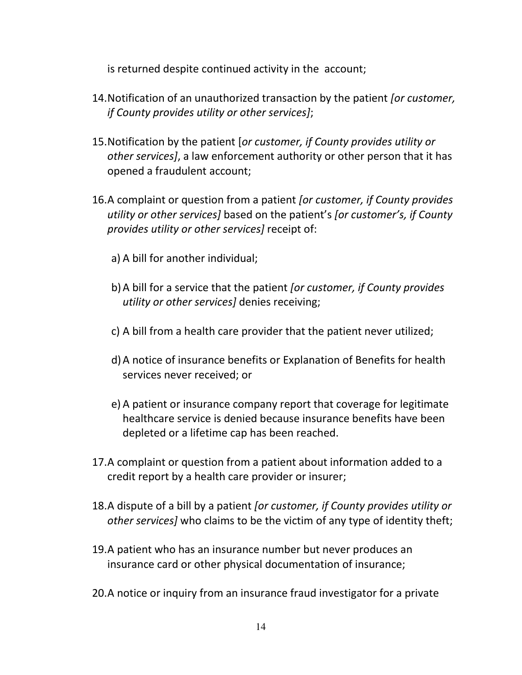is returned despite continued activity in the account;

- 14. Notification of an unauthorized transaction by the patient *for customer*, if County provides utility or other services];
- 15.Notification by the patient [or customer, if County provides utility or other services], a law enforcement authority or other person that it has opened a fraudulent account;
- 16.A complaint or question from a patient for customer, if County provides utility or other services] based on the patient's [or customer's, if County provides utility or other services] receipt of:
	- a) A bill for another individual;
	- b)A bill for a service that the patient [or customer, if County provides utility or other services] denies receiving;
	- c) A bill from a health care provider that the patient never utilized;
	- d)A notice of insurance benefits or Explanation of Benefits for health services never received; or
	- e) A patient or insurance company report that coverage for legitimate healthcare service is denied because insurance benefits have been depleted or a lifetime cap has been reached.
- 17.A complaint or question from a patient about information added to a credit report by a health care provider or insurer;
- 18.A dispute of a bill by a patient for customer, if County provides utility or other services] who claims to be the victim of any type of identity theft;
- 19.A patient who has an insurance number but never produces an insurance card or other physical documentation of insurance;
- 20.A notice or inquiry from an insurance fraud investigator for a private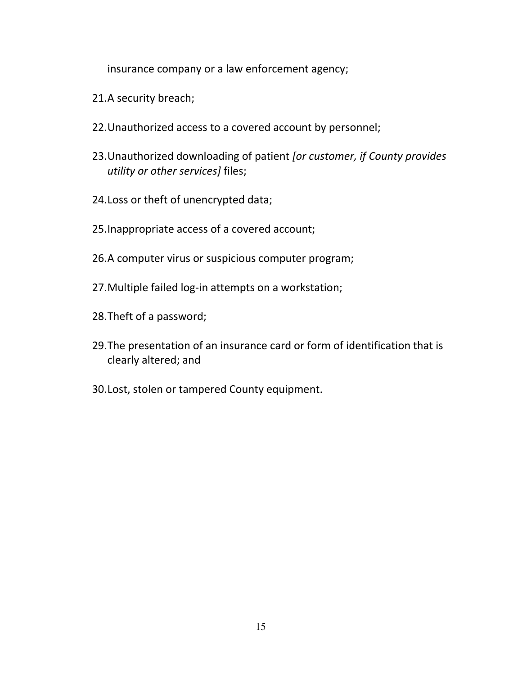insurance company or a law enforcement agency;

- 21.A security breach;
- 22.Unauthorized access to a covered account by personnel;
- 23. Unauthorized downloading of patient *for customer, if County provides* utility or other services] files;
- 24.Loss or theft of unencrypted data;
- 25.Inappropriate access of a covered account;
- 26.A computer virus or suspicious computer program;
- 27.Multiple failed log-in attempts on a workstation;
- 28.Theft of a password;
- 29.The presentation of an insurance card or form of identification that is clearly altered; and
- 30.Lost, stolen or tampered County equipment.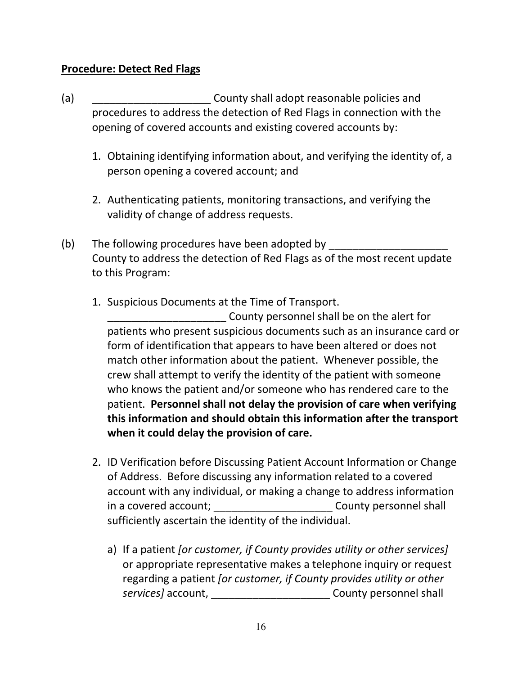#### Procedure: Detect Red Flags

- (a) **County shall adopt reasonable policies and** procedures to address the detection of Red Flags in connection with the opening of covered accounts and existing covered accounts by:
	- 1. Obtaining identifying information about, and verifying the identity of, a person opening a covered account; and
	- 2. Authenticating patients, monitoring transactions, and verifying the validity of change of address requests.
- (b) The following procedures have been adopted by County to address the detection of Red Flags as of the most recent update to this Program:
	- 1. Suspicious Documents at the Time of Transport.

\_\_\_\_\_\_\_\_\_\_\_\_\_\_\_\_\_\_\_\_ County personnel shall be on the alert for patients who present suspicious documents such as an insurance card or form of identification that appears to have been altered or does not match other information about the patient. Whenever possible, the crew shall attempt to verify the identity of the patient with someone who knows the patient and/or someone who has rendered care to the patient. Personnel shall not delay the provision of care when verifying this information and should obtain this information after the transport when it could delay the provision of care.

- 2. ID Verification before Discussing Patient Account Information or Change of Address. Before discussing any information related to a covered account with any individual, or making a change to address information in a covered account; \_\_\_\_\_\_\_\_\_\_\_\_\_\_\_\_\_\_\_\_\_\_\_\_\_\_\_\_\_\_\_\_County personnel shall sufficiently ascertain the identity of the individual.
	- a) If a patient *[or customer, if County provides utility or other services]* or appropriate representative makes a telephone inquiry or request regarding a patient for customer, if County provides utility or other services] account, \_\_\_\_\_\_\_\_\_\_\_\_\_\_\_\_\_\_\_\_\_\_\_\_\_\_\_ County personnel shall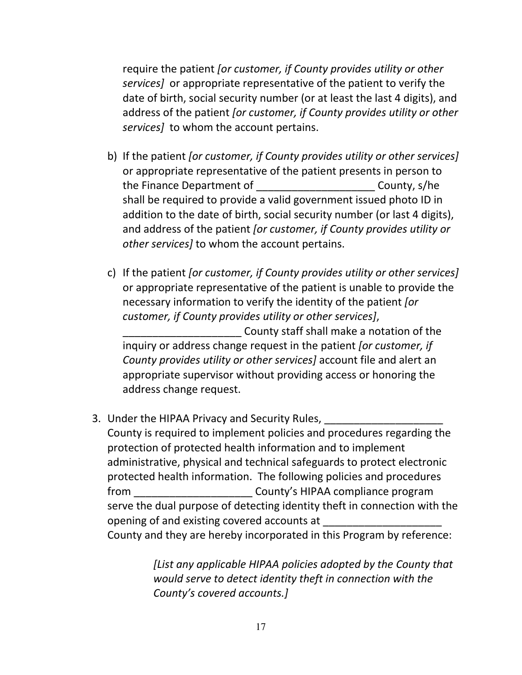require the patient [or customer, if County provides utility or other services] or appropriate representative of the patient to verify the date of birth, social security number (or at least the last 4 digits), and address of the patient for customer, if County provides utility or other services] to whom the account pertains.

- b) If the patient *for customer, if County provides utility or other services* or appropriate representative of the patient presents in person to the Finance Department of The County, s/he shall be required to provide a valid government issued photo ID in addition to the date of birth, social security number (or last 4 digits), and address of the patient *for customer, if County provides utility or* other services] to whom the account pertains.
- c) If the patient [or customer, if County provides utility or other services] or appropriate representative of the patient is unable to provide the necessary information to verify the identity of the patient [or customer, if County provides utility or other services], County staff shall make a notation of the

inquiry or address change request in the patient [or customer, if County provides utility or other services] account file and alert an appropriate supervisor without providing access or honoring the address change request.

3. Under the HIPAA Privacy and Security Rules,

County is required to implement policies and procedures regarding the protection of protected health information and to implement administrative, physical and technical safeguards to protect electronic protected health information. The following policies and procedures from \_\_\_\_\_\_\_\_\_\_\_\_\_\_\_\_\_\_\_\_ County's HIPAA compliance program serve the dual purpose of detecting identity theft in connection with the opening of and existing covered accounts at County and they are hereby incorporated in this Program by reference:

> [List any applicable HIPAA policies adopted by the County that would serve to detect identity theft in connection with the County's covered accounts.]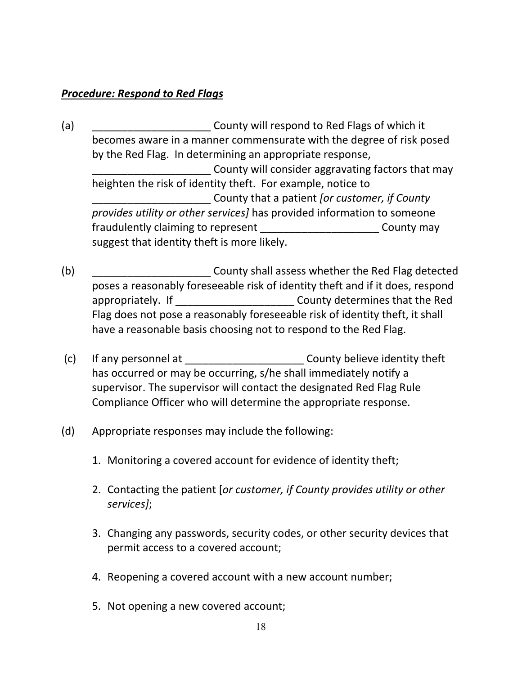#### Procedure: Respond to Red Flags

- (a) County will respond to Red Flags of which it becomes aware in a manner commensurate with the degree of risk posed by the Red Flag. In determining an appropriate response, \_\_\_\_\_\_\_\_\_\_\_\_\_\_\_\_\_\_\_\_ County will consider aggravating factors that may heighten the risk of identity theft. For example, notice to County that a patient *for customer, if County* provides utility or other services] has provided information to someone fraudulently claiming to represent County may suggest that identity theft is more likely.
- (b) **EXECUTE:** County shall assess whether the Red Flag detected poses a reasonably foreseeable risk of identity theft and if it does, respond appropriately. If \_\_\_\_\_\_\_\_\_\_\_\_\_\_\_\_\_\_\_\_ County determines that the Red Flag does not pose a reasonably foreseeable risk of identity theft, it shall have a reasonable basis choosing not to respond to the Red Flag.
- (c) If any personnel at  $\qquad \qquad \qquad \qquad$  County believe identity theft has occurred or may be occurring, s/he shall immediately notify a supervisor. The supervisor will contact the designated Red Flag Rule Compliance Officer who will determine the appropriate response.
- (d) Appropriate responses may include the following:
	- 1. Monitoring a covered account for evidence of identity theft;
	- 2. Contacting the patient [or customer, if County provides utility or other services];
	- 3. Changing any passwords, security codes, or other security devices that permit access to a covered account;
	- 4. Reopening a covered account with a new account number;
	- 5. Not opening a new covered account;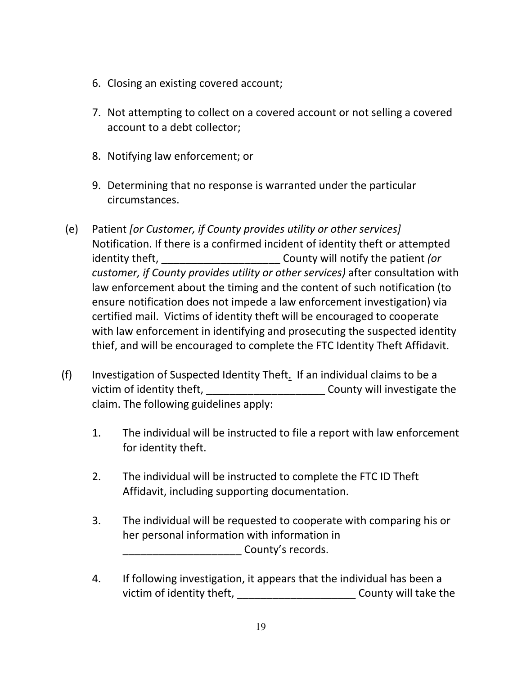- 6. Closing an existing covered account;
- 7. Not attempting to collect on a covered account or not selling a covered account to a debt collector;
- 8. Notifying law enforcement; or
- 9. Determining that no response is warranted under the particular circumstances.
- (e) Patient [or Customer, if County provides utility or other services] Notification. If there is a confirmed incident of identity theft or attempted identity theft, and the county will notify the patient (or customer, if County provides utility or other services) after consultation with law enforcement about the timing and the content of such notification (to ensure notification does not impede a law enforcement investigation) via certified mail. Victims of identity theft will be encouraged to cooperate with law enforcement in identifying and prosecuting the suspected identity thief, and will be encouraged to complete the FTC Identity Theft Affidavit.
- (f) Investigation of Suspected Identity Theft. If an individual claims to be a victim of identity theft, with the county will investigate the claim. The following guidelines apply:
	- 1. The individual will be instructed to file a report with law enforcement for identity theft.
	- 2. The individual will be instructed to complete the FTC ID Theft Affidavit, including supporting documentation.
	- 3. The individual will be requested to cooperate with comparing his or her personal information with information in county's records.
	- 4. If following investigation, it appears that the individual has been a victim of identity theft, \_\_\_\_\_\_\_\_\_\_\_\_\_\_\_\_\_\_\_\_\_\_\_\_\_\_\_County will take the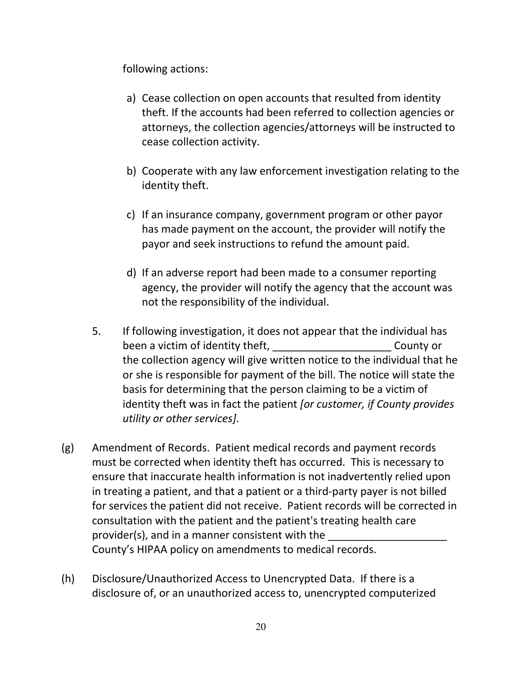following actions:

- a) Cease collection on open accounts that resulted from identity theft. If the accounts had been referred to collection agencies or attorneys, the collection agencies/attorneys will be instructed to cease collection activity.
- b) Cooperate with any law enforcement investigation relating to the identity theft.
- c) If an insurance company, government program or other payor has made payment on the account, the provider will notify the payor and seek instructions to refund the amount paid.
- d) If an adverse report had been made to a consumer reporting agency, the provider will notify the agency that the account was not the responsibility of the individual.
- 5. If following investigation, it does not appear that the individual has been a victim of identity theft, \_\_\_\_\_\_\_\_\_\_\_\_\_\_\_\_\_\_\_\_\_\_\_\_\_\_\_County or the collection agency will give written notice to the individual that he or she is responsible for payment of the bill. The notice will state the basis for determining that the person claiming to be a victim of identity theft was in fact the patient [or customer, if County provides utility or other services].
- (g) Amendment of Records. Patient medical records and payment records must be corrected when identity theft has occurred. This is necessary to ensure that inaccurate health information is not inadvertently relied upon in treating a patient, and that a patient or a third-party payer is not billed for services the patient did not receive. Patient records will be corrected in consultation with the patient and the patient's treating health care provider(s), and in a manner consistent with the County's HIPAA policy on amendments to medical records.
- (h) Disclosure/Unauthorized Access to Unencrypted Data. If there is a disclosure of, or an unauthorized access to, unencrypted computerized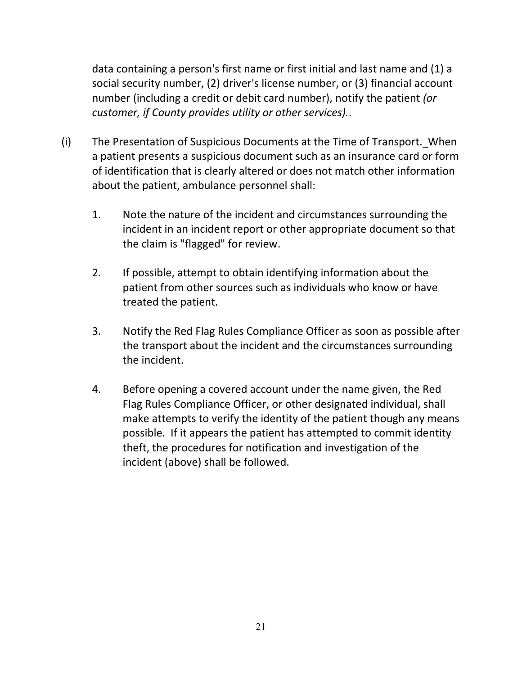data containing a person's first name or first initial and last name and (1) a social security number, (2) driver's license number, or (3) financial account number (including a credit or debit card number), notify the patient (or customer, if County provides utility or other services)..

- (i) The Presentation of Suspicious Documents at the Time of Transport. When a patient presents a suspicious document such as an insurance card or form of identification that is clearly altered or does not match other information about the patient, ambulance personnel shall:
	- 1. Note the nature of the incident and circumstances surrounding the incident in an incident report or other appropriate document so that the claim is "flagged" for review.
	- 2. If possible, attempt to obtain identifying information about the patient from other sources such as individuals who know or have treated the patient.
	- 3. Notify the Red Flag Rules Compliance Officer as soon as possible after the transport about the incident and the circumstances surrounding the incident.
	- 4. Before opening a covered account under the name given, the Red Flag Rules Compliance Officer, or other designated individual, shall make attempts to verify the identity of the patient though any means possible. If it appears the patient has attempted to commit identity theft, the procedures for notification and investigation of the incident (above) shall be followed.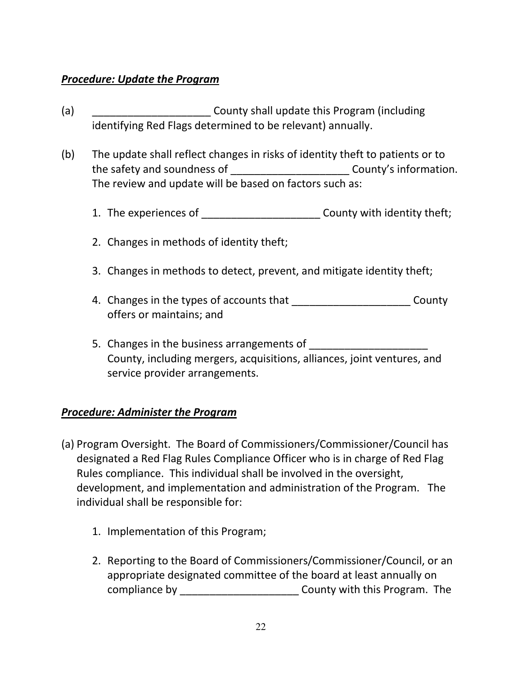#### Procedure: Update the Program

- (a) **EXECUTE:** County shall update this Program (including identifying Red Flags determined to be relevant) annually.
- (b) The update shall reflect changes in risks of identity theft to patients or to the safety and soundness of The Safety and soundness of The Safety and Soundness of Theorem 2011 The review and update will be based on factors such as:
	- 1. The experiences of  $\qquad \qquad \text{Country with identity the fit};$
	- 2. Changes in methods of identity theft;
	- 3. Changes in methods to detect, prevent, and mitigate identity theft;
	- 4. Changes in the types of accounts that \_\_\_\_\_\_\_\_\_\_\_\_\_\_\_\_\_\_\_\_\_\_\_\_\_\_\_County offers or maintains; and
	- 5. Changes in the business arrangements of County, including mergers, acquisitions, alliances, joint ventures, and service provider arrangements.

#### Procedure: Administer the Program

- (a) Program Oversight. The Board of Commissioners/Commissioner/Council has designated a Red Flag Rules Compliance Officer who is in charge of Red Flag Rules compliance. This individual shall be involved in the oversight, development, and implementation and administration of the Program. The individual shall be responsible for:
	- 1. Implementation of this Program;
	- 2. Reporting to the Board of Commissioners/Commissioner/Council, or an appropriate designated committee of the board at least annually on compliance by \_\_\_\_\_\_\_\_\_\_\_\_\_\_\_\_\_\_\_\_ County with this Program. The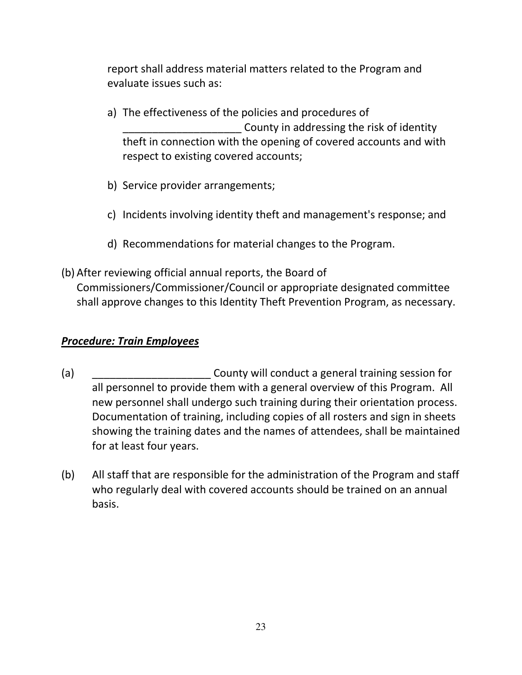report shall address material matters related to the Program and evaluate issues such as:

- a) The effectiveness of the policies and procedures of County in addressing the risk of identity theft in connection with the opening of covered accounts and with respect to existing covered accounts;
- b) Service provider arrangements;
- c) Incidents involving identity theft and management's response; and
- d) Recommendations for material changes to the Program.
- (b) After reviewing official annual reports, the Board of Commissioners/Commissioner/Council or appropriate designated committee shall approve changes to this Identity Theft Prevention Program, as necessary.

#### Procedure: Train Employees

- (a) **EXECUTE:** County will conduct a general training session for all personnel to provide them with a general overview of this Program. All new personnel shall undergo such training during their orientation process. Documentation of training, including copies of all rosters and sign in sheets showing the training dates and the names of attendees, shall be maintained for at least four years.
- (b) All staff that are responsible for the administration of the Program and staff who regularly deal with covered accounts should be trained on an annual basis.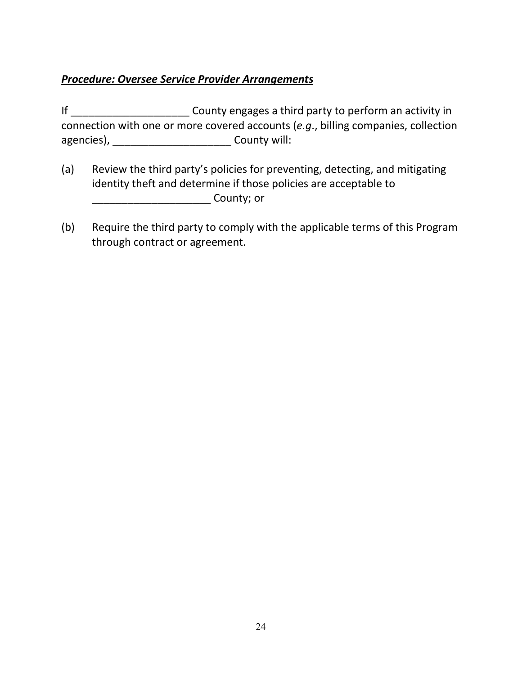#### Procedure: Oversee Service Provider Arrangements

If \_\_\_\_\_\_\_\_\_\_\_\_\_\_\_\_\_\_\_\_\_\_\_\_\_\_\_County engages a third party to perform an activity in connection with one or more covered accounts (e.g., billing companies, collection agencies), \_\_\_\_\_\_\_\_\_\_\_\_\_\_\_\_\_\_\_\_\_\_\_\_\_\_\_County will:

- (a) Review the third party's policies for preventing, detecting, and mitigating identity theft and determine if those policies are acceptable to \_\_\_\_\_\_\_\_\_\_\_\_\_\_\_\_\_\_\_\_ County; or
- (b) Require the third party to comply with the applicable terms of this Program through contract or agreement.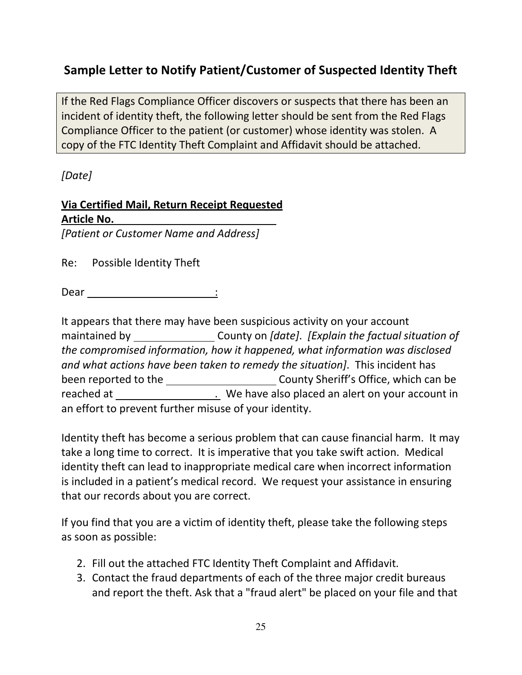# Sample Letter to Notify Patient/Customer of Suspected Identity Theft

If the Red Flags Compliance Officer discovers or suspects that there has been an incident of identity theft, the following letter should be sent from the Red Flags Compliance Officer to the patient (or customer) whose identity was stolen. A copy of the FTC Identity Theft Complaint and Affidavit should be attached.

[Date]

# Via Certified Mail, Return Receipt Requested Article No.

[Patient or Customer Name and Address]

Re: Possible Identity Theft

Dear :

It appears that there may have been suspicious activity on your account maintained by \_\_\_\_\_\_\_\_\_\_\_\_\_\_\_\_\_\_County on [date]. [Explain the factual situation of the compromised information, how it happened, what information was disclosed and what actions have been taken to remedy the situation]. This incident has been reported to the County Sheriff's Office, which can be reached at . We have also placed an alert on your account in an effort to prevent further misuse of your identity.

Identity theft has become a serious problem that can cause financial harm. It may take a long time to correct. It is imperative that you take swift action. Medical identity theft can lead to inappropriate medical care when incorrect information is included in a patient's medical record. We request your assistance in ensuring that our records about you are correct.

If you find that you are a victim of identity theft, please take the following steps as soon as possible:

- 2. Fill out the attached FTC Identity Theft Complaint and Affidavit.
- 3. Contact the fraud departments of each of the three major credit bureaus and report the theft. Ask that a "fraud alert" be placed on your file and that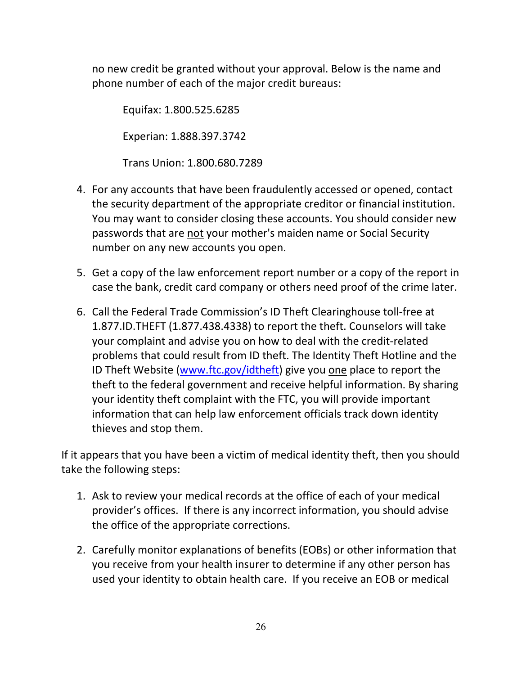no new credit be granted without your approval. Below is the name and phone number of each of the major credit bureaus:

Equifax: 1.800.525.6285 Experian: 1.888.397.3742

Trans Union: 1.800.680.7289

- 4. For any accounts that have been fraudulently accessed or opened, contact the security department of the appropriate creditor or financial institution. You may want to consider closing these accounts. You should consider new passwords that are not your mother's maiden name or Social Security number on any new accounts you open.
- 5. Get a copy of the law enforcement report number or a copy of the report in case the bank, credit card company or others need proof of the crime later.
- 6. Call the Federal Trade Commission's ID Theft Clearinghouse toll-free at 1.877.ID.THEFT (1.877.438.4338) to report the theft. Counselors will take your complaint and advise you on how to deal with the credit-related problems that could result from ID theft. The Identity Theft Hotline and the ID Theft Website (www.ftc.gov/idtheft) give you one place to report the theft to the federal government and receive helpful information. By sharing your identity theft complaint with the FTC, you will provide important information that can help law enforcement officials track down identity thieves and stop them.

If it appears that you have been a victim of medical identity theft, then you should take the following steps:

- 1. Ask to review your medical records at the office of each of your medical provider's offices. If there is any incorrect information, you should advise the office of the appropriate corrections.
- 2. Carefully monitor explanations of benefits (EOBs) or other information that you receive from your health insurer to determine if any other person has used your identity to obtain health care. If you receive an EOB or medical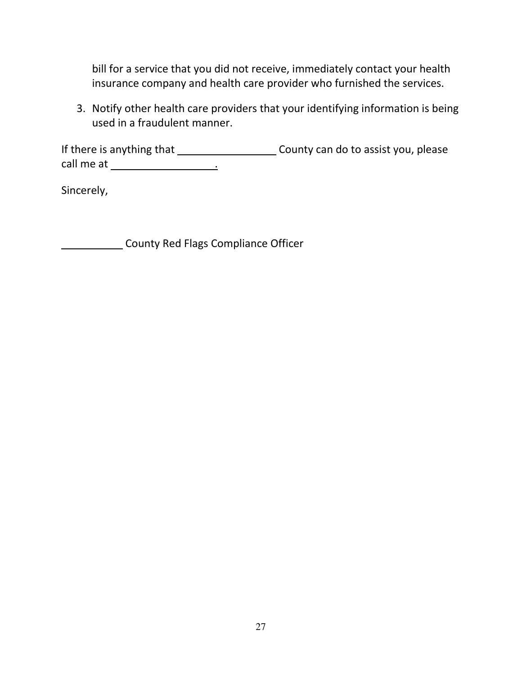bill for a service that you did not receive, immediately contact your health insurance company and health care provider who furnished the services.

3. Notify other health care providers that your identifying information is being used in a fraudulent manner.

If there is anything that \_\_\_\_\_\_\_\_\_\_\_\_\_\_\_\_\_\_\_\_\_\_\_\_\_\_\_County can do to assist you, please call me at .

Sincerely,

**County Red Flags Compliance Officer**